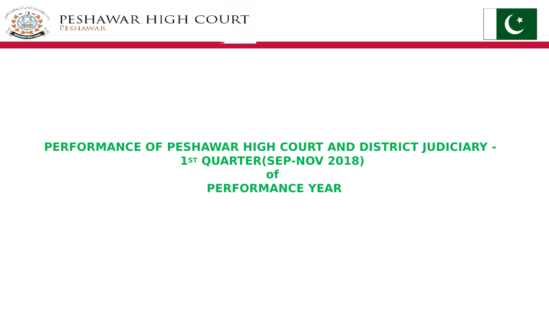



### **PERFORMANCE OF PESHAWAR HIGH COURT AND DISTRICT JUDICIARY - 1ST** QUARTER(SEP-NOV 2018) **of PERFORMANCE YEAR**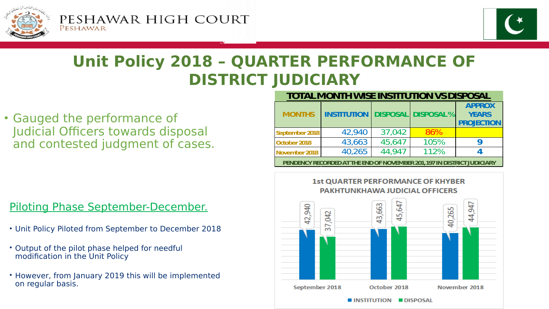



## **Unit Policy 2018 – QUARTER PERFORMANCE OF DISTRICT JUDICIARY**

• Gauged the performance of Judicial Officers towards disposal and contested judgment of cases.

#### **TOTAL MONTH WISE INSTITUTION VS DISPOSAL**

| <b>MONTHS</b>                                                           | <b>INSTITUTION</b> |        | <b>DISPOSAL DISPOSAL%</b> | <b>APPROX</b><br><b>YEARS</b><br><b>PROJECTION</b> |  |
|-------------------------------------------------------------------------|--------------------|--------|---------------------------|----------------------------------------------------|--|
| September 2018                                                          | 42,940             | 37,042 | 86%                       |                                                    |  |
| October 2018                                                            | 43,663             | 45,647 | 105%                      | q                                                  |  |
| November 2018                                                           | 40,265             | 44.947 | 112%                      |                                                    |  |
| PENDENCY RECORDED AT THE END OF NOVEMBER 201, 197 IN DISTRICT JUDICIARY |                    |        |                           |                                                    |  |

### Piloting Phase September-December.

- Unit Policy Piloted from September to December 2018
- Output of the pilot phase helped for needful modification in the Unit Policy
- However, from January 2019 this will be implemented on regular basis.

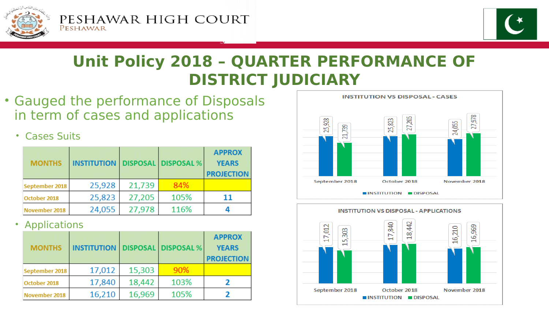



## **Unit Policy 2018 – QUARTER PERFORMANCE OF DISTRICT JUDICIARY**

• Gauged the performance of Disposals in term of cases and applications

### • Cases Suits

| <b>MONTHS</b>  | <b>INSTITUTION</b> |        | <b>DISPOSAL DISPOSAL %</b> | <b>APPROX</b><br><b>YEARS</b><br><b>PROJECTION</b> |
|----------------|--------------------|--------|----------------------------|----------------------------------------------------|
| September 2018 | 25,928             | 21,739 | 84%                        |                                                    |
| October 2018   | 25,823             | 27,205 | 105%                       | 11                                                 |
| November 2018  | 24,055             | 27,978 | 116%                       |                                                    |

### • Applications

| <b>MONTHS</b>  | <b>INSTITUTION</b> |        | <b>DISPOSAL DISPOSAL %</b> | <b>APPROX</b><br><b>YEARS</b><br><b>PROJECTION</b> |
|----------------|--------------------|--------|----------------------------|----------------------------------------------------|
| September 2018 | 17,012             | 15,303 | 90%                        |                                                    |
| October 2018   | 17,840             | 18,442 | 103%                       |                                                    |
| November 2018  | 16,210             | 16,969 | 105%                       |                                                    |



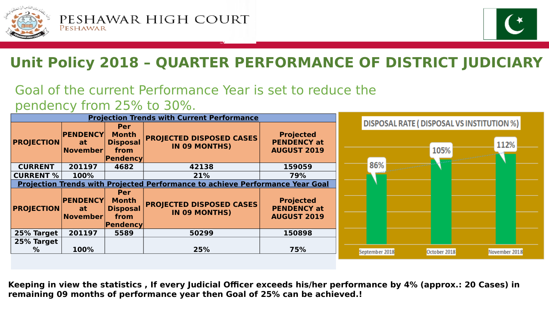



# **Unit Policy 2018 – QUARTER PERFORMANCE OF DISTRICT JUDICIARY**

## Goal of the current Performance Year is set to reduce the pendency from 25% to 30%.

| <b>Projection Trends with Current Performance</b>                                    |                                          |                                                                   |                                                  |                                                              |                                                            |
|--------------------------------------------------------------------------------------|------------------------------------------|-------------------------------------------------------------------|--------------------------------------------------|--------------------------------------------------------------|------------------------------------------------------------|
| <b>PROJECTION</b>                                                                    | <b>PENDENCY</b><br>at<br>November        | Per<br><b>Month</b><br><b>Disposal</b><br>from<br>Pendency        | <b>PROJECTED DISPOSED CASES</b><br>IN 09 MONTHS) | <b>Projected</b><br><b>PENDENCY at</b><br><b>AUGUST 2019</b> | DISPOSAL RATE ( DISPOSAL VS INSTITUTION %)<br>112%<br>105% |
| <b>CURRENT</b>                                                                       | 201197                                   | 4682                                                              | 42138                                            | 159059                                                       | 86%                                                        |
| <b>CURRENT %</b>                                                                     | 100%                                     |                                                                   | 21%                                              | 79%                                                          |                                                            |
| <b>Projection Trends with Projected Performance to achieve Performance Year Goal</b> |                                          |                                                                   |                                                  |                                                              |                                                            |
| <b>PROJECTION</b>                                                                    | <b>PENDENCY</b><br><b>at</b><br>November | <b>Per</b><br><b>Month</b><br><b>Disposal</b><br>from<br>Pendency | <b>PROJECTED DISPOSED CASES</b><br>IN 09 MONTHS) | <b>Projected</b><br><b>PENDENCY at</b><br><b>AUGUST 2019</b> |                                                            |
| 25% Target                                                                           | 201197                                   | 5589                                                              | 50299                                            | 150898                                                       |                                                            |
| 25% Target<br>$\%$                                                                   | 100%                                     |                                                                   | 25%                                              | 75%                                                          | November 2018<br>October 2018<br>September 2018            |

**Keeping in view the statistics , If every Judicial Officer exceeds his/her performance by 4% (approx.: 20 Cases) in remaining 09 months of performance year then Goal of 25% can be achieved.!**